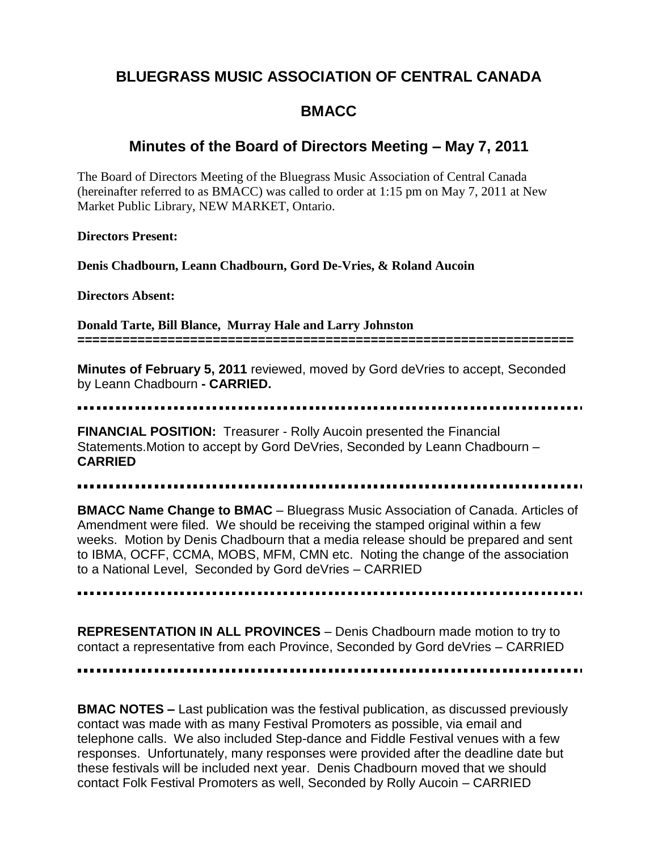# **BLUEGRASS MUSIC ASSOCIATION OF CENTRAL CANADA**

## **BMACC**

## **Minutes of the Board of Directors Meeting – May 7, 2011**

The Board of Directors Meeting of the Bluegrass Music Association of Central Canada (hereinafter referred to as BMACC) was called to order at 1:15 pm on May 7, 2011 at New Market Public Library, NEW MARKET, Ontario.

**Directors Present:** 

**Denis Chadbourn, Leann Chadbourn, Gord De-Vries, & Roland Aucoin**

**Directors Absent:** 

**Donald Tarte, Bill Blance, Murray Hale and Larry Johnston ==================================================================**

**Minutes of February 5, 2011** reviewed, moved by Gord deVries to accept, Seconded by Leann Chadbourn **- CARRIED.**

**FINANCIAL POSITION:** Treasurer - Rolly Aucoin presented the Financial Statements.Motion to accept by Gord DeVries, Seconded by Leann Chadbourn – **CARRIED**

**BMACC Name Change to BMAC** – Bluegrass Music Association of Canada. Articles of Amendment were filed. We should be receiving the stamped original within a few weeks. Motion by Denis Chadbourn that a media release should be prepared and sent to IBMA, OCFF, CCMA, MOBS, MFM, CMN etc. Noting the change of the association to a National Level, Seconded by Gord deVries – CARRIED

**REPRESENTATION IN ALL PROVINCES** – Denis Chadbourn made motion to try to contact a representative from each Province, Seconded by Gord deVries – CARRIED

**BMAC NOTES –** Last publication was the festival publication, as discussed previously contact was made with as many Festival Promoters as possible, via email and telephone calls. We also included Step-dance and Fiddle Festival venues with a few responses. Unfortunately, many responses were provided after the deadline date but these festivals will be included next year. Denis Chadbourn moved that we should contact Folk Festival Promoters as well, Seconded by Rolly Aucoin – CARRIED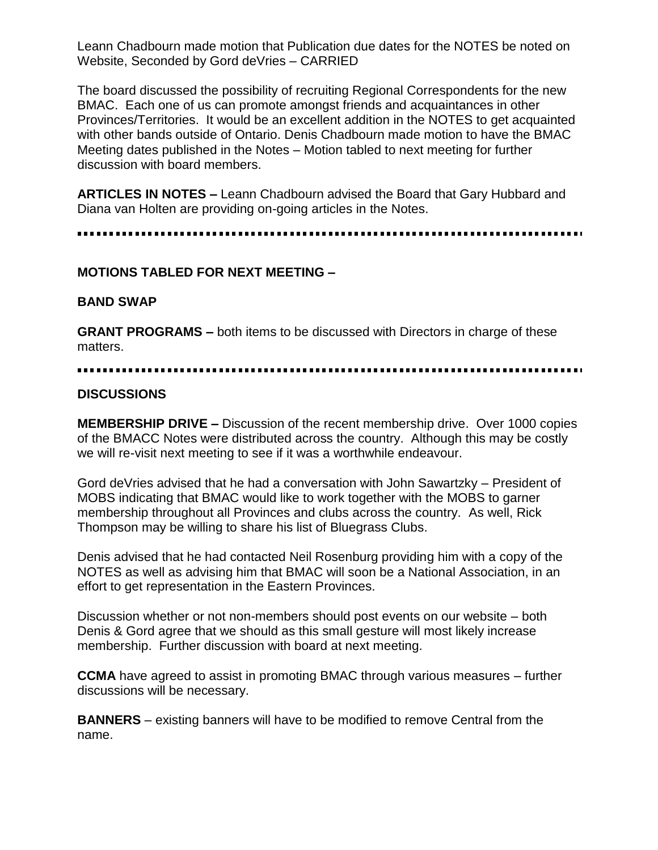Leann Chadbourn made motion that Publication due dates for the NOTES be noted on Website, Seconded by Gord deVries – CARRIED

The board discussed the possibility of recruiting Regional Correspondents for the new BMAC. Each one of us can promote amongst friends and acquaintances in other Provinces/Territories. It would be an excellent addition in the NOTES to get acquainted with other bands outside of Ontario. Denis Chadbourn made motion to have the BMAC Meeting dates published in the Notes – Motion tabled to next meeting for further discussion with board members.

**ARTICLES IN NOTES –** Leann Chadbourn advised the Board that Gary Hubbard and Diana van Holten are providing on-going articles in the Notes.

### **MOTIONS TABLED FOR NEXT MEETING –**

#### **BAND SWAP**

**GRANT PROGRAMS –** both items to be discussed with Directors in charge of these matters.

### **DISCUSSIONS**

**MEMBERSHIP DRIVE –** Discussion of the recent membership drive. Over 1000 copies of the BMACC Notes were distributed across the country. Although this may be costly we will re-visit next meeting to see if it was a worthwhile endeavour.

Gord deVries advised that he had a conversation with John Sawartzky – President of MOBS indicating that BMAC would like to work together with the MOBS to garner membership throughout all Provinces and clubs across the country. As well, Rick Thompson may be willing to share his list of Bluegrass Clubs.

Denis advised that he had contacted Neil Rosenburg providing him with a copy of the NOTES as well as advising him that BMAC will soon be a National Association, in an effort to get representation in the Eastern Provinces.

Discussion whether or not non-members should post events on our website – both Denis & Gord agree that we should as this small gesture will most likely increase membership. Further discussion with board at next meeting.

**CCMA** have agreed to assist in promoting BMAC through various measures – further discussions will be necessary.

**BANNERS** – existing banners will have to be modified to remove Central from the name.